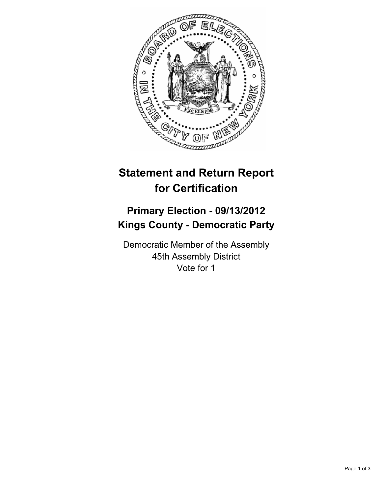

# **Statement and Return Report for Certification**

## **Primary Election - 09/13/2012 Kings County - Democratic Party**

Democratic Member of the Assembly 45th Assembly District Vote for 1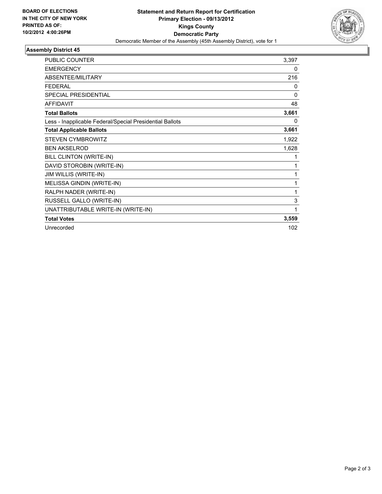

### **Assembly District 45**

| <b>PUBLIC COUNTER</b>                                    | 3,397        |
|----------------------------------------------------------|--------------|
| <b>EMERGENCY</b>                                         | 0            |
| ABSENTEE/MILITARY                                        | 216          |
| <b>FEDERAL</b>                                           | 0            |
| <b>SPECIAL PRESIDENTIAL</b>                              | $\mathbf{0}$ |
| <b>AFFIDAVIT</b>                                         | 48           |
| <b>Total Ballots</b>                                     | 3,661        |
| Less - Inapplicable Federal/Special Presidential Ballots | 0            |
| <b>Total Applicable Ballots</b>                          | 3,661        |
| STEVEN CYMBROWITZ                                        | 1,922        |
| <b>BEN AKSELROD</b>                                      | 1,628        |
| BILL CLINTON (WRITE-IN)                                  | 1            |
| DAVID STOROBIN (WRITE-IN)                                | 1            |
| JIM WILLIS (WRITE-IN)                                    | 1            |
| MELISSA GINDIN (WRITE-IN)                                | 1            |
| RALPH NADER (WRITE-IN)                                   | 1            |
| RUSSELL GALLO (WRITE-IN)                                 | 3            |
| UNATTRIBUTABLE WRITE-IN (WRITE-IN)                       | 1            |
| <b>Total Votes</b>                                       | 3,559        |
| Unrecorded                                               | 102          |